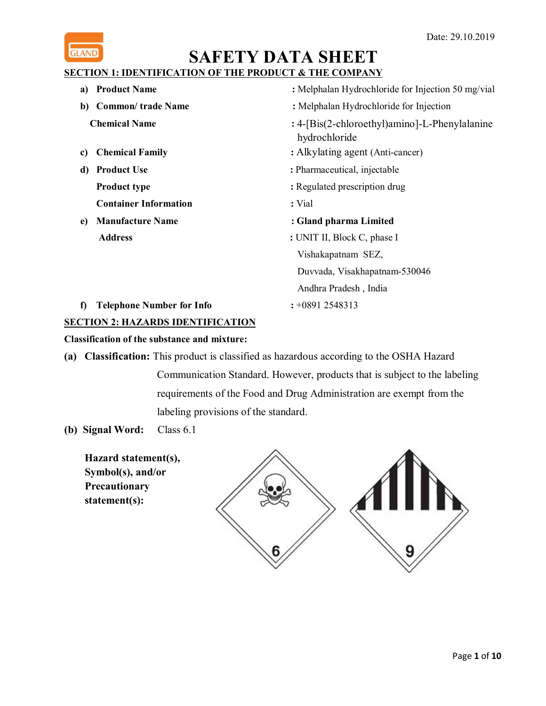

# **SECTION 1: IDENTIFICATION OF THE PRODUCT & THE COMPANY**

- **a) Product Name** : Melphalan Hydrochloride for Injection 50 mg/vial **b) Common**/ **trade Name** : Melphalan Hydrochloride for Injection **Chemical Name :** 4-[Bis(2-chloroethyl)amino]-L-Phenylalanine hydrochloride **c) Chemical Family :** Alkylating agent (Anti-cancer) **d) Product Use :** Pharmaceutical, injectable **Product type :** Regulated prescription drug **Container Information :** Vial **e) Manufacture Name : Gland pharma Limited Address :** UNIT II, Block C, phase I Vishakapatnam SEZ, Duvvada, Visakhapatnam-530046
- **f) Telephone Number for Info :** +0891 2548313

# **SECTION 2: HAZARDS IDENTIFICATION**

## **Classification of the substance and mixture:**

- **(a) Classification:** This product is classified as hazardous according to the OSHA Hazard Communication Standard. However, products that is subject to the labeling requirements of the Food and Drug Administration are exempt from the labeling provisions of the standard.
- **(b) Signal Word:** Class 6.1

**Hazard statement(s), Symbol(s), and/or Precautionary statement(s):**



Andhra Pradesh , India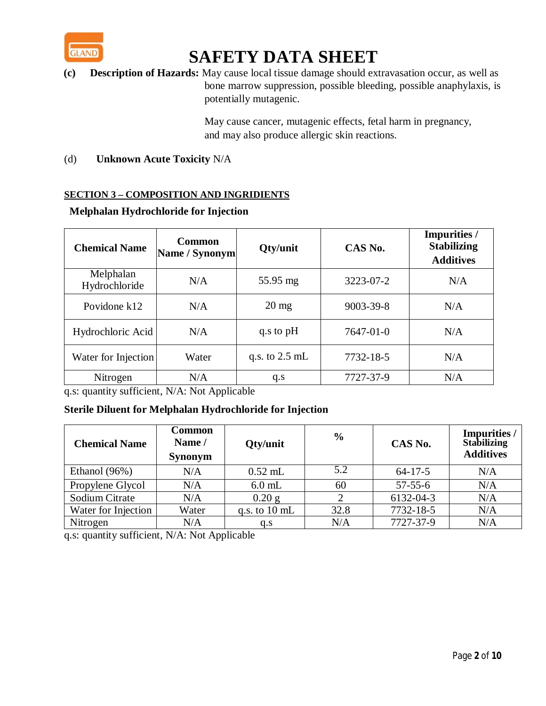

**(c) Description of Hazards:** May cause local tissue damage should extravasation occur, as well as bone marrow suppression, possible bleeding, possible anaphylaxis, is potentially mutagenic.

> May cause cancer, mutagenic effects, fetal harm in pregnancy, and may also produce allergic skin reactions.

(d) **Unknown Acute Toxicity** N/A

## **SECTION 3 – COMPOSITION AND INGRIDIENTS**

| <b>Chemical Name</b>       | <b>Common</b><br>Name / Synonym | Qty/unit         | CAS No.         | <b>Impurities /</b><br><b>Stabilizing</b><br><b>Additives</b> |
|----------------------------|---------------------------------|------------------|-----------------|---------------------------------------------------------------|
| Melphalan<br>Hydrochloride | N/A                             | 55.95 mg         | 3223-07-2       | N/A                                                           |
| Povidone k12               | N/A                             | $20 \text{ mg}$  | $9003 - 39 - 8$ | N/A                                                           |
| Hydrochloric Acid          | N/A                             | q.s to pH        | $7647 - 01 - 0$ | N/A                                                           |
| Water for Injection        | Water                           | q.s. to $2.5$ mL | 7732-18-5       | N/A                                                           |
| Nitrogen                   | N/A                             | q.s              | 7727-37-9       | N/A                                                           |

## **Melphalan Hydrochloride for Injection**

q.s: quantity sufficient, N/A: Not Applicable

# **Sterile Diluent for Melphalan Hydrochloride for Injection**

| <b>Chemical Name</b> | <b>Common</b><br>Name /<br><b>Synonym</b> | Qty/unit                | $\frac{0}{0}$ | CAS No.       | Impurities /<br><b>Stabilizing</b><br><b>Additives</b> |
|----------------------|-------------------------------------------|-------------------------|---------------|---------------|--------------------------------------------------------|
| Ethanol (96%)        | N/A                                       | $0.52$ mL               | 5.2           | $64 - 17 - 5$ | N/A                                                    |
| Propylene Glycol     | N/A                                       | $6.0$ mL                | 60            | $57 - 55 - 6$ | N/A                                                    |
| Sodium Citrate       | N/A                                       | $0.20$ g                |               | 6132-04-3     | N/A                                                    |
| Water for Injection  | Water                                     | q.s. to $10 \text{ mL}$ | 32.8          | 7732-18-5     | N/A                                                    |
| Nitrogen             | N/A                                       | q.s                     | N/A           | 7727-37-9     | N/A                                                    |

q.s: quantity sufficient, N/A: Not Applicable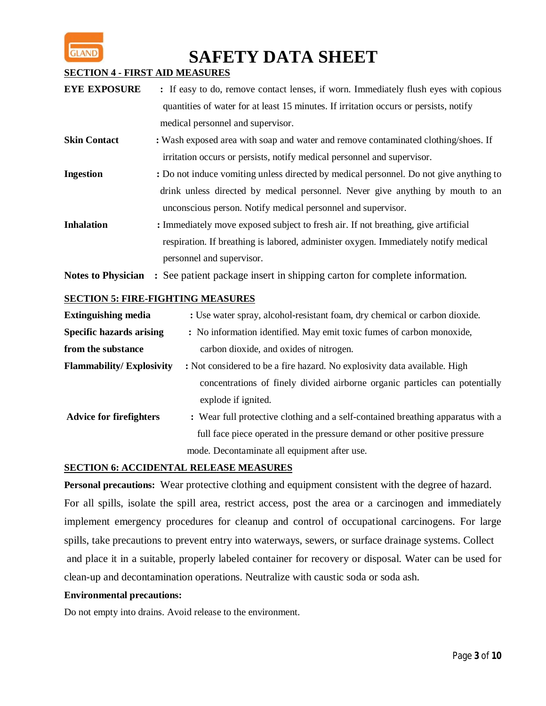

### **SECTION 4 - FIRST AID MEASURES**

- **EYE EXPOSURE** : If easy to do, remove contact lenses, if worn. Immediately flush eyes with copious quantities of water for at least 15 minutes. If irritation occurs or persists, notify medical personnel and supervisor.
- **Skin Contact** : Wash exposed area with soap and water and remove contaminated clothing/shoes. If irritation occurs or persists, notify medical personnel and supervisor.
- **Ingestion** : Do not induce vomiting unless directed by medical personnel. Do not give anything to drink unless directed by medical personnel. Never give anything by mouth to an unconscious person. Notify medical personnel and supervisor.
- **Inhalation** : Immediately move exposed subject to fresh air. If not breathing, give artificial respiration. If breathing is labored, administer oxygen. Immediately notify medical personnel and supervisor.

**Notes to Physician :** See patient package insert in shipping carton for complete information*.*

# **SECTION 5: FIRE-FIGHTING MEASURES**

| <b>Extinguishing media</b>      | : Use water spray, alcohol-resistant foam, dry chemical or carbon dioxide.      |
|---------------------------------|---------------------------------------------------------------------------------|
| <b>Specific hazards arising</b> | : No information identified. May emit toxic fumes of carbon monoxide,           |
| from the substance              | carbon dioxide, and oxides of nitrogen.                                         |
| <b>Flammability/Explosivity</b> | : Not considered to be a fire hazard. No explosivity data available. High       |
|                                 | concentrations of finely divided airborne organic particles can potentially     |
|                                 | explode if ignited.                                                             |
| <b>Advice for firefighters</b>  | : Wear full protective clothing and a self-contained breathing apparatus with a |
|                                 | full face piece operated in the pressure demand or other positive pressure      |
|                                 | mode. Decontaminate all equipment after use.                                    |

### **SECTION 6: ACCIDENTAL RELEASE MEASURES**

**Personal precautions:** Wear protective clothing and equipment consistent with the degree of hazard. For all spills, isolate the spill area, restrict access, post the area or a carcinogen and immediately implement emergency procedures for cleanup and control of occupational carcinogens*.* For large spills, take precautions to prevent entry into waterways, sewers, or surface drainage systems. Collect and place it in a suitable, properly labeled container for recovery or disposal. Water can be used for clean-up and decontamination operations. Neutralize with caustic soda or soda ash.

### **Environmental precautions:**

Do not empty into drains. Avoid release to the environment.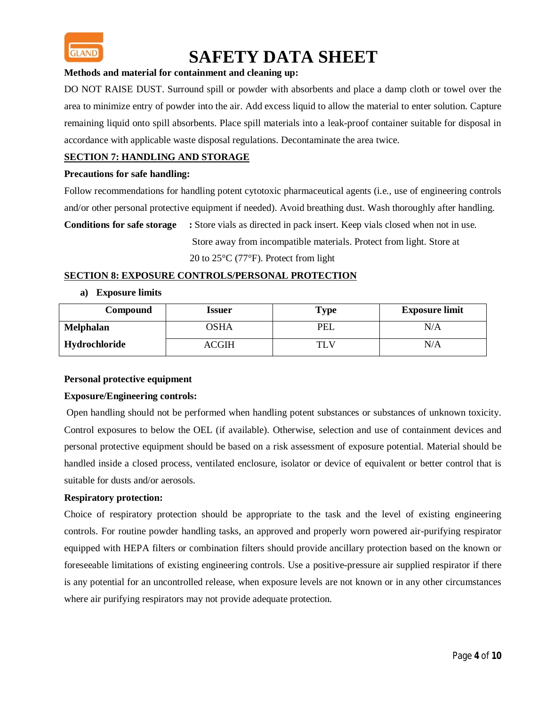

### **Methods and material for containment and cleaning up:**

DO NOT RAISE DUST. Surround spill or powder with absorbents and place a damp cloth or towel over the area to minimize entry of powder into the air. Add excess liquid to allow the material to enter solution. Capture remaining liquid onto spill absorbents. Place spill materials into a leak-proof container suitable for disposal in accordance with applicable waste disposal regulations. Decontaminate the area twice.

### **SECTION 7: HANDLING AND STORAGE**

#### **Precautions for safe handling:**

Follow recommendations for handling potent cytotoxic pharmaceutical agents (i.e., use of engineering controls and/or other personal protective equipment if needed). Avoid breathing dust. Wash thoroughly after handling.

**Conditions for safe storage :** Store vials as directed in pack insert. Keep vials closed when not in use. Store away from incompatible materials. Protect from light. Store at

20 to 25°C (77°F). Protect from light

#### **SECTION 8: EXPOSURE CONTROLS/PERSONAL PROTECTION**

**a) Exposure limits**

| Compound         | <b>Issuer</b> | <b>Type</b> | <b>Exposure limit</b> |
|------------------|---------------|-------------|-----------------------|
| <b>Melphalan</b> | <b>OSHA</b>   | PEL         | N/A                   |
| Hydrochloride    | ACGIH         | TLV         | N/A                   |

#### **Personal protective equipment**

#### **Exposure/Engineering controls:**

Open handling should not be performed when handling potent substances or substances of unknown toxicity. Control exposures to below the OEL (if available). Otherwise, selection and use of containment devices and personal protective equipment should be based on a risk assessment of exposure potential. Material should be handled inside a closed process, ventilated enclosure, isolator or device of equivalent or better control that is suitable for dusts and/or aerosols.

#### **Respiratory protection:**

Choice of respiratory protection should be appropriate to the task and the level of existing engineering controls. For routine powder handling tasks, an approved and properly worn powered air-purifying respirator equipped with HEPA filters or combination filters should provide ancillary protection based on the known or foreseeable limitations of existing engineering controls. Use a positive-pressure air supplied respirator if there is any potential for an uncontrolled release, when exposure levels are not known or in any other circumstances where air purifying respirators may not provide adequate protection.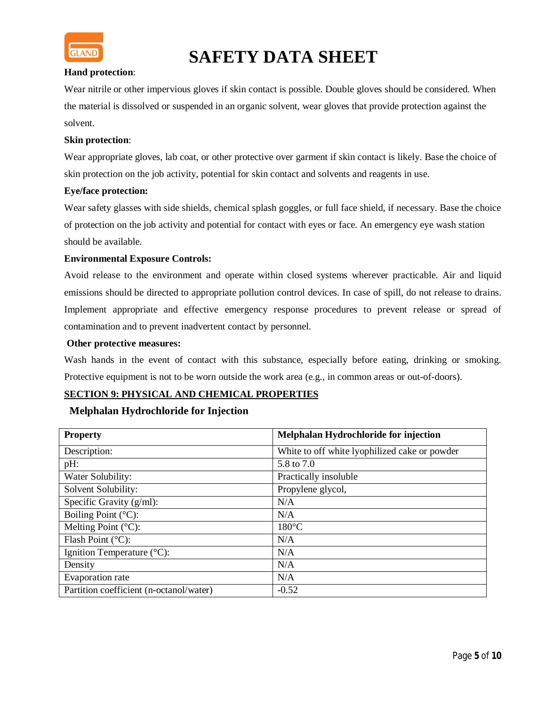

#### **Hand protection**:

Wear nitrile or other impervious gloves if skin contact is possible. Double gloves should be considered. When the material is dissolved or suspended in an organic solvent, wear gloves that provide protection against the solvent.

### **Skin protection**:

Wear appropriate gloves, lab coat, or other protective over garment if skin contact is likely. Base the choice of skin protection on the job activity, potential for skin contact and solvents and reagents in use.

#### **Eye/face protection:**

Wear safety glasses with side shields, chemical splash goggles, or full face shield, if necessary. Base the choice of protection on the job activity and potential for contact with eyes or face. An emergency eye wash station should be available.

#### **Environmental Exposure Controls:**

Avoid release to the environment and operate within closed systems wherever practicable. Air and liquid emissions should be directed to appropriate pollution control devices. In case of spill, do not release to drains. Implement appropriate and effective emergency response procedures to prevent release or spread of contamination and to prevent inadvertent contact by personnel.

#### **Other protective measures:**

Wash hands in the event of contact with this substance, especially before eating, drinking or smoking. Protective equipment is not to be worn outside the work area (e.g., in common areas or out-of-doors).

### **SECTION 9: PHYSICAL AND CHEMICAL PROPERTIES**

#### **Melphalan Hydrochloride for Injection**

| <b>Property</b>                         | Melphalan Hydrochloride for injection         |
|-----------------------------------------|-----------------------------------------------|
| Description:                            | White to off white lyophilized cake or powder |
| pH:                                     | 5.8 to 7.0                                    |
| Water Solubility:                       | Practically insoluble                         |
| Solvent Solubility:                     | Propylene glycol,                             |
| Specific Gravity $(g/ml)$ :             | N/A                                           |
| Boiling Point $(^{\circ}C)$ :           | N/A                                           |
| Melting Point $(^{\circ}C)$ :           | $180^{\circ}$ C                               |
| Flash Point $(^{\circ}C)$ :             | N/A                                           |
| Ignition Temperature $(^{\circ}C)$ :    | N/A                                           |
| Density                                 | N/A                                           |
| Evaporation rate                        | N/A                                           |
| Partition coefficient (n-octanol/water) | $-0.52$                                       |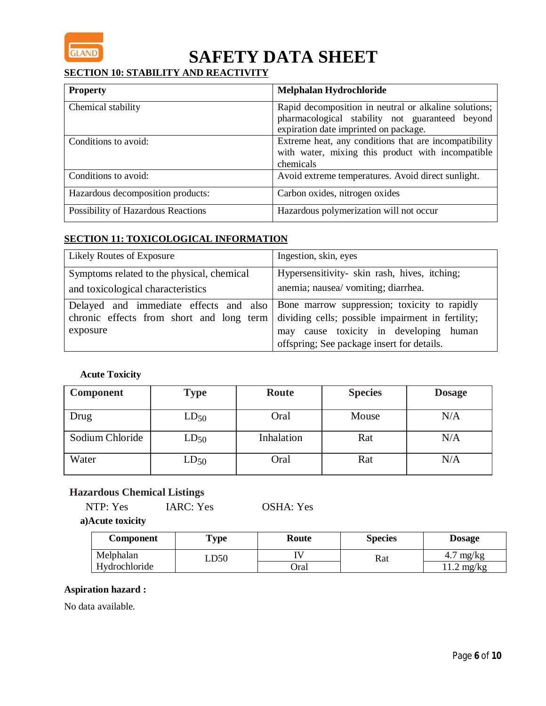

# **SECTION 10: STABILITY AND REACTIVITY**

| <b>Property</b>                    | Melphalan Hydrochloride                                                                                                                           |
|------------------------------------|---------------------------------------------------------------------------------------------------------------------------------------------------|
| Chemical stability                 | Rapid decomposition in neutral or alkaline solutions;<br>pharmacological stability not guaranteed beyond<br>expiration date imprinted on package. |
| Conditions to avoid:               | Extreme heat, any conditions that are incompatibility<br>with water, mixing this product with incompatible<br>chemicals                           |
| Conditions to avoid:               | Avoid extreme temperatures. Avoid direct sunlight.                                                                                                |
| Hazardous decomposition products:  | Carbon oxides, nitrogen oxides                                                                                                                    |
| Possibility of Hazardous Reactions | Hazardous polymerization will not occur                                                                                                           |

# **SECTION 11: TOXICOLOGICAL INFORMATION**

| Likely Routes of Exposure                                                       | Ingestion, skin, eyes                                                                                                                                                                                                              |  |
|---------------------------------------------------------------------------------|------------------------------------------------------------------------------------------------------------------------------------------------------------------------------------------------------------------------------------|--|
| Symptoms related to the physical, chemical<br>and toxicological characteristics | Hypersensitivity- skin rash, hives, itching;<br>anemia; nausea/ vomiting; diarrhea.                                                                                                                                                |  |
| chronic effects from short and long term<br>exposure                            | Delayed and immediate effects and also   Bone marrow suppression; toxicity to rapidly<br>dividing cells; possible impairment in fertility;<br>may cause toxicity in developing human<br>offspring; See package insert for details. |  |

**Acute Toxicity**

| <b>Component</b> | <b>Type</b> | Route      | <b>Species</b> | <b>Dosage</b> |
|------------------|-------------|------------|----------------|---------------|
| Drug             | $LD_{50}$   | Oral       | Mouse          | N/A           |
| Sodium Chloride  | $LD_{50}$   | Inhalation | Rat            | N/A           |
| Water            | $LD_{50}$   | Oral       | Rat            | N/A           |

# **Hazardous Chemical Listings**

**a)Acute toxicity**

| Component     | <b>Type</b> | Route       | <b>Species</b> | <b>Dosage</b>       |
|---------------|-------------|-------------|----------------|---------------------|
| Melphalan     | LD50        |             | Rat            | mg/kg<br>4.7        |
| Hydrochloride |             | <b>Dral</b> |                | $1.2 \text{ mg/kg}$ |

## **Aspiration hazard :**

No data available.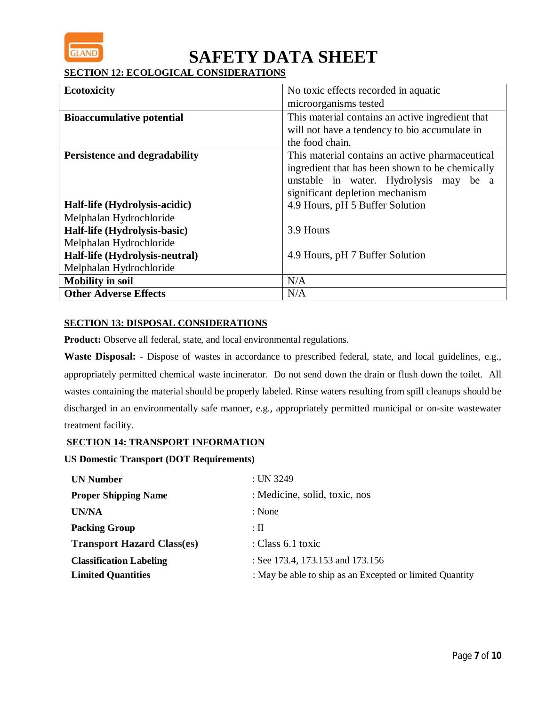

**SECTION 12: ECOLOGICAL CONSIDERATIONS**

| <b>Ecotoxicity</b>                   | No toxic effects recorded in aquatic             |  |
|--------------------------------------|--------------------------------------------------|--|
|                                      | microorganisms tested                            |  |
| <b>Bioaccumulative potential</b>     | This material contains an active ingredient that |  |
|                                      | will not have a tendency to bio accumulate in    |  |
|                                      | the food chain.                                  |  |
| <b>Persistence and degradability</b> | This material contains an active pharmaceutical  |  |
|                                      | ingredient that has been shown to be chemically  |  |
|                                      | unstable in water. Hydrolysis may be a           |  |
|                                      | significant depletion mechanism                  |  |
| Half-life (Hydrolysis-acidic)        | 4.9 Hours, pH 5 Buffer Solution                  |  |
| Melphalan Hydrochloride              |                                                  |  |
| Half-life (Hydrolysis-basic)         | 3.9 Hours                                        |  |
| Melphalan Hydrochloride              |                                                  |  |
| Half-life (Hydrolysis-neutral)       | 4.9 Hours, pH 7 Buffer Solution                  |  |
| Melphalan Hydrochloride              |                                                  |  |
| <b>Mobility in soil</b>              | N/A                                              |  |
| <b>Other Adverse Effects</b>         | N/A                                              |  |

## **SECTION 13: DISPOSAL CONSIDERATIONS**

**Product:** Observe all federal, state, and local environmental regulations.

**Waste Disposal:** - Dispose of wastes in accordance to prescribed federal, state, and local guidelines, e.g., appropriately permitted chemical waste incinerator. Do not send down the drain or flush down the toilet. All wastes containing the material should be properly labeled. Rinse waters resulting from spill cleanups should be discharged in an environmentally safe manner, e.g., appropriately permitted municipal or on-site wastewater treatment facility.

## **SECTION 14: TRANSPORT INFORMATION**

#### **US Domestic Transport (DOT Requirements)**

| <b>UN Number</b>                  | : UN 3249                                                |
|-----------------------------------|----------------------------------------------------------|
| <b>Proper Shipping Name</b>       | : Medicine, solid, toxic, nos                            |
| UN/NA                             | : None                                                   |
| <b>Packing Group</b>              | $:$ $\Pi$                                                |
| <b>Transport Hazard Class(es)</b> | : Class $6.1$ toxic                                      |
| <b>Classification Labeling</b>    | : See 173.4, 173.153 and 173.156                         |
| <b>Limited Quantities</b>         | : May be able to ship as an Excepted or limited Quantity |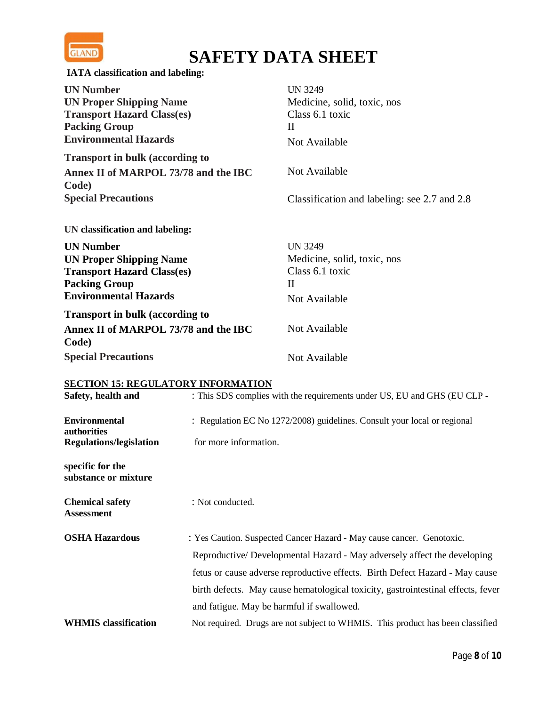

| IATA classification and labeling:                                                                                                               |                                                                                |                                                                                               |
|-------------------------------------------------------------------------------------------------------------------------------------------------|--------------------------------------------------------------------------------|-----------------------------------------------------------------------------------------------|
| <b>UN Number</b><br><b>UN Proper Shipping Name</b><br><b>Transport Hazard Class(es)</b><br><b>Packing Group</b><br><b>Environmental Hazards</b> |                                                                                | <b>UN 3249</b><br>Medicine, solid, toxic, nos<br>Class 6.1 toxic<br>$\rm II$<br>Not Available |
| <b>Transport in bulk (according to</b>                                                                                                          |                                                                                |                                                                                               |
| Annex II of MARPOL 73/78 and the IBC<br>Code)                                                                                                   |                                                                                | Not Available                                                                                 |
| <b>Special Precautions</b>                                                                                                                      |                                                                                | Classification and labeling: see 2.7 and 2.8                                                  |
| UN classification and labeling:                                                                                                                 |                                                                                |                                                                                               |
| <b>UN Number</b>                                                                                                                                |                                                                                | <b>UN 3249</b>                                                                                |
| <b>UN Proper Shipping Name</b>                                                                                                                  |                                                                                | Medicine, solid, toxic, nos                                                                   |
| <b>Transport Hazard Class(es)</b>                                                                                                               |                                                                                | Class 6.1 toxic                                                                               |
| <b>Packing Group</b>                                                                                                                            |                                                                                | $\mathbf{I}$                                                                                  |
| <b>Environmental Hazards</b>                                                                                                                    |                                                                                | Not Available                                                                                 |
| <b>Transport in bulk (according to</b>                                                                                                          |                                                                                |                                                                                               |
| Annex II of MARPOL 73/78 and the IBC<br>Code)                                                                                                   |                                                                                | Not Available                                                                                 |
| <b>Special Precautions</b>                                                                                                                      |                                                                                | Not Available                                                                                 |
| <b>SECTION 15: REGULATORY INFORMATION</b>                                                                                                       |                                                                                |                                                                                               |
| Safety, health and                                                                                                                              |                                                                                | : This SDS complies with the requirements under US, EU and GHS (EU CLP -                      |
| <b>Environmental</b><br>authorities                                                                                                             |                                                                                | : Regulation EC No 1272/2008) guidelines. Consult your local or regional                      |
| <b>Regulations/legislation</b>                                                                                                                  | for more information.                                                          |                                                                                               |
| specific for the<br>substance or mixture                                                                                                        |                                                                                |                                                                                               |
| <b>Chemical safety</b><br><b>Assessment</b>                                                                                                     | : Not conducted.                                                               |                                                                                               |
| <b>OSHA Hazardous</b>                                                                                                                           | : Yes Caution. Suspected Cancer Hazard - May cause cancer. Genotoxic.          |                                                                                               |
|                                                                                                                                                 |                                                                                | Reproductive/ Developmental Hazard - May adversely affect the developing                      |
|                                                                                                                                                 |                                                                                | fetus or cause adverse reproductive effects. Birth Defect Hazard - May cause                  |
|                                                                                                                                                 |                                                                                | birth defects. May cause hematological toxicity, gastrointestinal effects, fever              |
|                                                                                                                                                 |                                                                                | and fatigue. May be harmful if swallowed.                                                     |
| <b>WHMIS</b> classification                                                                                                                     | Not required. Drugs are not subject to WHMIS. This product has been classified |                                                                                               |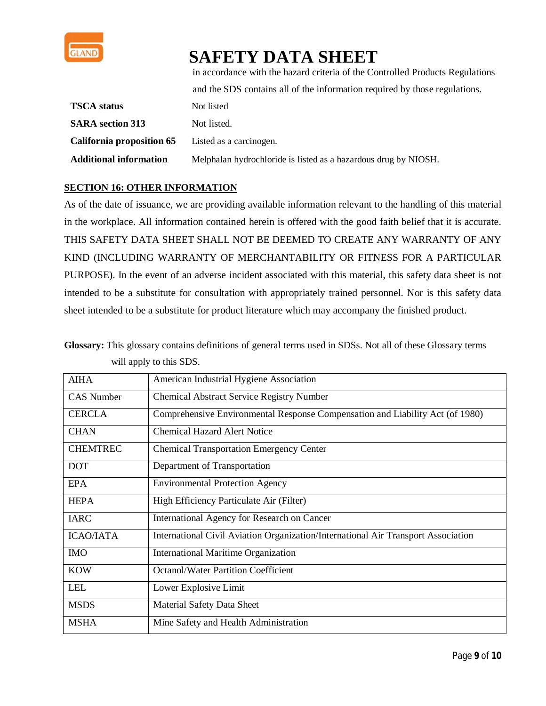

in accordance with the hazard criteria of the Controlled Products Regulations

|                                                          | and the SDS contains all of the information required by those regulations. |  |
|----------------------------------------------------------|----------------------------------------------------------------------------|--|
| TSCA status                                              | Not listed                                                                 |  |
| <b>SARA</b> section 313                                  | Not listed.                                                                |  |
| <b>California proposition 65</b> Listed as a carcinogen. |                                                                            |  |
| Additional information                                   | Melphalan hydrochloride is listed as a hazardous drug by NIOSH.            |  |

## **SECTION 16: OTHER INFORMATION**

As of the date of issuance, we are providing available information relevant to the handling of this material in the workplace. All information contained herein is offered with the good faith belief that it is accurate. THIS SAFETY DATA SHEET SHALL NOT BE DEEMED TO CREATE ANY WARRANTY OF ANY KIND (INCLUDING WARRANTY OF MERCHANTABILITY OR FITNESS FOR A PARTICULAR PURPOSE). In the event of an adverse incident associated with this material, this safety data sheet is not intended to be a substitute for consultation with appropriately trained personnel. Nor is this safety data sheet intended to be a substitute for product literature which may accompany the finished product.

**Glossary:** This glossary contains definitions of general terms used in SDSs. Not all of these Glossary terms will apply to this SDS.

| <b>AIHA</b>       | American Industrial Hygiene Association                                           |
|-------------------|-----------------------------------------------------------------------------------|
| <b>CAS</b> Number | <b>Chemical Abstract Service Registry Number</b>                                  |
| <b>CERCLA</b>     | Comprehensive Environmental Response Compensation and Liability Act (of 1980)     |
| <b>CHAN</b>       | <b>Chemical Hazard Alert Notice</b>                                               |
| <b>CHEMTREC</b>   | <b>Chemical Transportation Emergency Center</b>                                   |
| <b>DOT</b>        | Department of Transportation                                                      |
| <b>EPA</b>        | <b>Environmental Protection Agency</b>                                            |
| <b>HEPA</b>       | High Efficiency Particulate Air (Filter)                                          |
| <b>IARC</b>       | International Agency for Research on Cancer                                       |
| <b>ICAO/IATA</b>  | International Civil Aviation Organization/International Air Transport Association |
| <b>IMO</b>        | <b>International Maritime Organization</b>                                        |
| <b>KOW</b>        | <b>Octanol/Water Partition Coefficient</b>                                        |
| <b>LEL</b>        | Lower Explosive Limit                                                             |
| <b>MSDS</b>       | Material Safety Data Sheet                                                        |
| <b>MSHA</b>       | Mine Safety and Health Administration                                             |